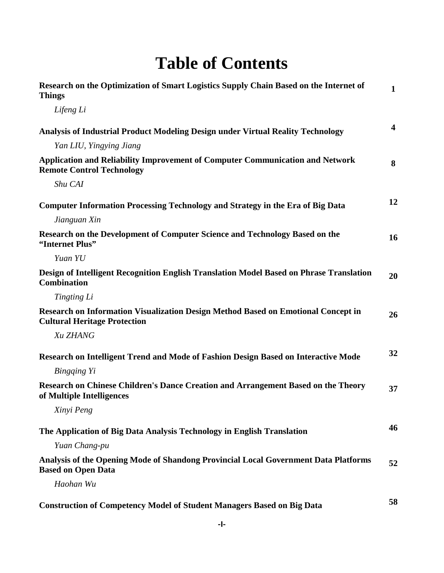## **Table of Contents**

| Research on the Optimization of Smart Logistics Supply Chain Based on the Internet of<br><b>Things</b>                   | $\mathbf{1}$            |
|--------------------------------------------------------------------------------------------------------------------------|-------------------------|
| Lifeng Li                                                                                                                |                         |
| Analysis of Industrial Product Modeling Design under Virtual Reality Technology                                          | $\overline{\mathbf{4}}$ |
| Yan LIU, Yingying Jiang                                                                                                  |                         |
| Application and Reliability Improvement of Computer Communication and Network<br><b>Remote Control Technology</b>        | 8                       |
| Shu CAI                                                                                                                  |                         |
| <b>Computer Information Processing Technology and Strategy in the Era of Big Data</b>                                    | 12                      |
| Jianguan Xin                                                                                                             |                         |
| Research on the Development of Computer Science and Technology Based on the<br>"Internet Plus"                           | 16                      |
| Yuan YU                                                                                                                  |                         |
| Design of Intelligent Recognition English Translation Model Based on Phrase Translation<br><b>Combination</b>            | 20                      |
| Tingting Li                                                                                                              |                         |
| Research on Information Visualization Design Method Based on Emotional Concept in<br><b>Cultural Heritage Protection</b> | 26                      |
| Xu ZHANG                                                                                                                 |                         |
| Research on Intelligent Trend and Mode of Fashion Design Based on Interactive Mode                                       | 32                      |
| Bingqing Yi                                                                                                              |                         |
| Research on Chinese Children's Dance Creation and Arrangement Based on the Theory<br>of Multiple Intelligences           | 37                      |
| Xinyi Peng                                                                                                               |                         |
| The Application of Big Data Analysis Technology in English Translation                                                   | 46                      |
| Yuan Chang-pu                                                                                                            |                         |
| Analysis of the Opening Mode of Shandong Provincial Local Government Data Platforms<br><b>Based on Open Data</b>         | 52                      |
| Haohan Wu                                                                                                                |                         |
| <b>Construction of Competency Model of Student Managers Based on Big Data</b>                                            | 58                      |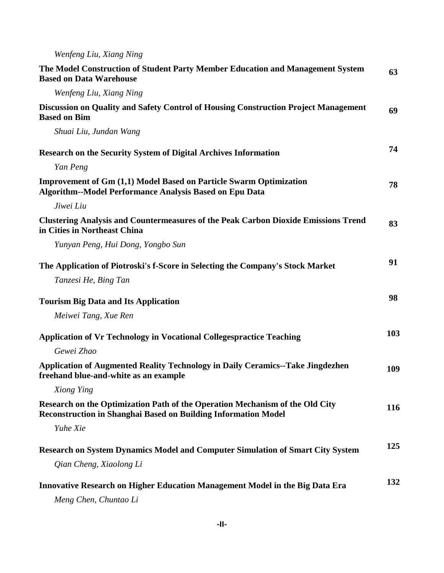## *Wenfeng Liu, Xiang Ning*

| The Model Construction of Student Party Member Education and Management System<br><b>Based on Data Warehouse</b>                                      | 63  |
|-------------------------------------------------------------------------------------------------------------------------------------------------------|-----|
| Wenfeng Liu, Xiang Ning                                                                                                                               |     |
| Discussion on Quality and Safety Control of Housing Construction Project Management<br><b>Based on Bim</b>                                            | 69  |
| Shuai Liu, Jundan Wang                                                                                                                                |     |
| <b>Research on the Security System of Digital Archives Information</b>                                                                                | 74  |
| Yan Peng                                                                                                                                              |     |
| <b>Improvement of Gm (1,1) Model Based on Particle Swarm Optimization</b><br><b>Algorithm--Model Performance Analysis Based on Epu Data</b>           | 78  |
| Jiwei Liu                                                                                                                                             |     |
| <b>Clustering Analysis and Countermeasures of the Peak Carbon Dioxide Emissions Trend</b><br>in Cities in Northeast China                             | 83  |
| Yunyan Peng, Hui Dong, Yongbo Sun                                                                                                                     |     |
| The Application of Piotroski's f-Score in Selecting the Company's Stock Market                                                                        | 91  |
| Tanzesi He, Bing Tan                                                                                                                                  |     |
| <b>Tourism Big Data and Its Application</b>                                                                                                           | 98  |
| Meiwei Tang, Xue Ren                                                                                                                                  |     |
| <b>Application of Vr Technology in Vocational Collegespractice Teaching</b>                                                                           | 103 |
| Gewei Zhao                                                                                                                                            |     |
| Application of Augmented Reality Technology in Daily Ceramics--Take Jingdezhen<br>freehand blue-and-white as an example                               | 109 |
| Xiong Ying                                                                                                                                            |     |
| Research on the Optimization Path of the Operation Mechanism of the Old City<br><b>Reconstruction in Shanghai Based on Building Information Model</b> | 116 |
| Yuhe Xie                                                                                                                                              |     |
| Research on System Dynamics Model and Computer Simulation of Smart City System                                                                        | 125 |
| Qian Cheng, Xiaolong Li                                                                                                                               |     |
| Innovative Research on Higher Education Management Model in the Big Data Era<br>Meng Chen, Chuntao Li                                                 | 132 |